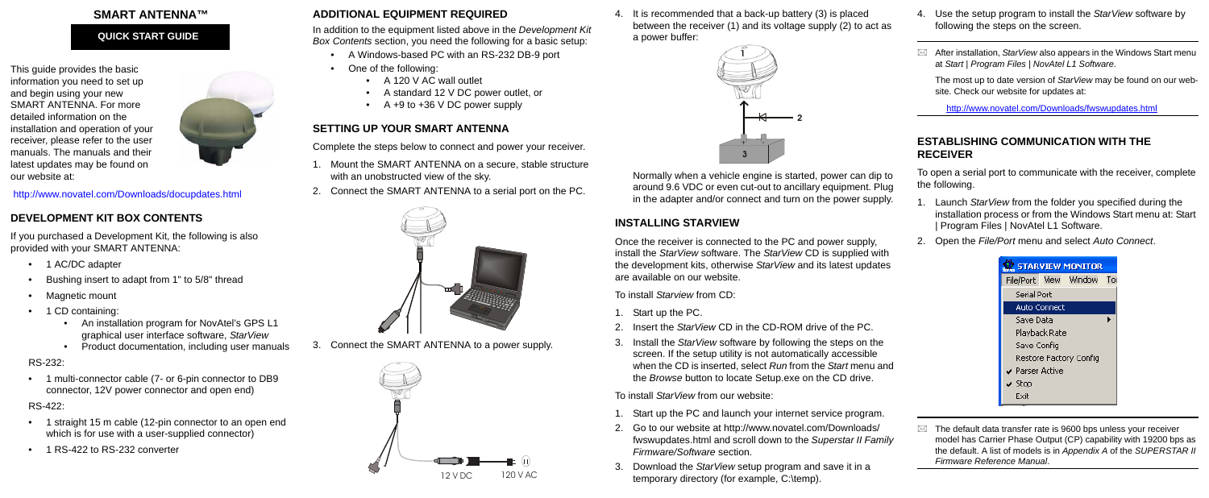### **SMART ANTENNA™**

This guide provides the basic information you need to set up and begin using your new SMART ANTENNA. For more detailed information on the installation and operation of your receiver, please refer to the user manuals. The manuals and their latest updates may be found on our website at:



#### <http://www.novatel.com/Downloads/docupdates.html>

- 1 AC/DC adapter
- Bushing insert to adapt from 1" to 5/8" thread
- Magnetic mount
- 1 CD containing:
	- An installation program for NovAtel's GPS L1 graphical user interface software, *StarView*
	- Product documentation, including user manuals

# **DEVELOPMENT KIT BOX CONTENTS**

- 1 straight 15 m cable (12-pin connector to an open end which is for use with a user-supplied connector)
- 1 RS-422 to RS-232 converter

If you purchased a Development Kit, the following is also provided with your SMART ANTENNA:

- A Windows-based PC with an RS-232 DB-9 port
- One of the following:
	- A 120 V AC wall outlet
	- A standard 12 V DC power outlet, or
	- $A + 9$  to  $+36$  V DC power supply

#### RS-232:

• 1 multi-connector cable (7- or 6-pin connector to DB9 connector, 12V power connector and open end)

RS-422:

## **ADDITIONAL EQUIPMENT REQUIRED**

In addition to the equipment listed above in the *Development Kit Box Contents* section, you need the following for a basic setup:

# **SETTING UP YOUR SMART ANTENNA**

Complete the steps below to connect and power your receiver.

- 1. Mount the SMART ANTENNA on a secure, stable structure with an unobstructed view of the sky.
- 2. Connect the SMART ANTENNA to a serial port on the PC.



3. Connect the SMART ANTENNA to a power supply.

4. It is recommended that a back-up battery (3) is placed between the receiver (1) and its voltage supply (2) to act as a power buffer:

Normally when a vehicle engine is started, power can dip to around 9.6 VDC or even cut-out to ancillary equipment. Plug in the adapter and/or connect and turn on the power supply.

> $\boxtimes$  The default data transfer rate is 9600 bps unless your receiver model has Carrier Phase Output (CP) capability with 19200 bps as the default. A list of models is in *Appendix A* of the *SUPERSTAR II Firmware Reference Manual*.

# **INSTALLING STARVIEW**

Once the receiver is connected to the PC and power supply, install the *StarView* software. The *StarView* CD is supplied with the development kits, otherwise *StarView* and its latest updates are available on our website.

To install *Starview* from CD:

- 1. Start up the PC.
- 2. Insert the *StarView* CD in the CD-ROM drive of the PC.
- 3. Install the *StarView* software by following the steps on the screen. If the setup utility is not automatically accessible when the CD is inserted, select *Run* from the *Start* menu and the *Browse* button to locate Setup.exe on the CD drive.

To install *StarView* from our website:

- 1. Start up the PC and launch your internet service program.
- 2. Go to our website at http://www.novatel.com/Downloads/ fwswupdates.html and scroll down to the *Superstar II Family Firmware/Software* section.
- 3. Download the *StarView* setup program and save it in a temporary directory (for example, C:\temp).
- 4. Use the setup program to install the *StarView* software by following the steps on the screen.
- $\boxtimes$  After installation, *StarView* also appears in the Windows Start menu at *Start | Program Files | NovAtel L1 Software*.

The most up to date version of *StarView* may be found on our website. Check our website for updates at:

<http://www.novatel.com/Downloads/fwswupdates.html>

### **ESTABLISHING COMMUNICATION WITH THE RECEIVER**

- To open a serial port to communicate with the receiver, complete the following.
	- 1. Launch *StarView* from the folder you specified during the installation process or from the Windows Start menu at: Start | Program Files | NovAtel L1 Software.
	- 2. Open the *File/Port* menu and select *Auto Connect*.

| <b>Z STARVIEW MONITOR</b>               |  |                          |  |  |  |  |  |
|-----------------------------------------|--|--------------------------|--|--|--|--|--|
|                                         |  | File/Port View Window To |  |  |  |  |  |
| <b>Serial Port</b>                      |  |                          |  |  |  |  |  |
| <b>Auto Connect</b>                     |  |                          |  |  |  |  |  |
| Save Data                               |  |                          |  |  |  |  |  |
| Playback Rate                           |  |                          |  |  |  |  |  |
| Save Config                             |  |                          |  |  |  |  |  |
| Restore Factory Config                  |  |                          |  |  |  |  |  |
| $\boldsymbol{\mathsf{v}}$ Parser Active |  |                          |  |  |  |  |  |
| $\checkmark$ Stop                       |  |                          |  |  |  |  |  |
| Exit                                    |  |                          |  |  |  |  |  |

**QUICK START GUIDE**